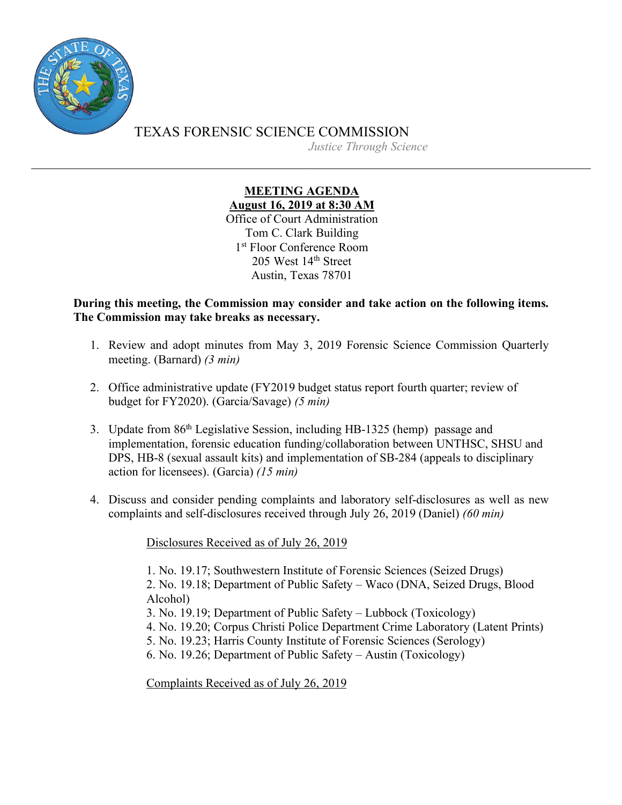

TEXAS FORENSIC SCIENCE COMMISSION

*Justice Through Science*

## **MEETING AGENDA August 16, 2019 at 8:30 AM** Office of Court Administration

Tom C. Clark Building 1<sup>st</sup> Floor Conference Room 205 West 14<sup>th</sup> Street Austin, Texas 78701

**During this meeting, the Commission may consider and take action on the following items. The Commission may take breaks as necessary.**

- 1. Review and adopt minutes from May 3, 2019 Forensic Science Commission Quarterly meeting. (Barnard) *(3 min)*
- 2. Office administrative update (FY2019 budget status report fourth quarter; review of budget for FY2020). (Garcia/Savage) *(5 min)*
- 3. Update from 86<sup>th</sup> Legislative Session, including HB-1325 (hemp) passage and implementation, forensic education funding/collaboration between UNTHSC, SHSU and DPS, HB-8 (sexual assault kits) and implementation of SB-284 (appeals to disciplinary action for licensees). (Garcia) *(15 min)*
- 4. Discuss and consider pending complaints and laboratory self-disclosures as well as new complaints and self-disclosures received through July 26, 2019 (Daniel) *(60 min)*

Disclosures Received as of July 26, 2019

1. No. 19.17; Southwestern Institute of Forensic Sciences (Seized Drugs)

2. No. 19.18; Department of Public Safety – Waco (DNA, Seized Drugs, Blood Alcohol)

- 3. No. 19.19; Department of Public Safety Lubbock (Toxicology)
- 4. No. 19.20; Corpus Christi Police Department Crime Laboratory (Latent Prints)
- 5. No. 19.23; Harris County Institute of Forensic Sciences (Serology)
- 6. No. 19.26; Department of Public Safety Austin (Toxicology)

Complaints Received as of July 26, 2019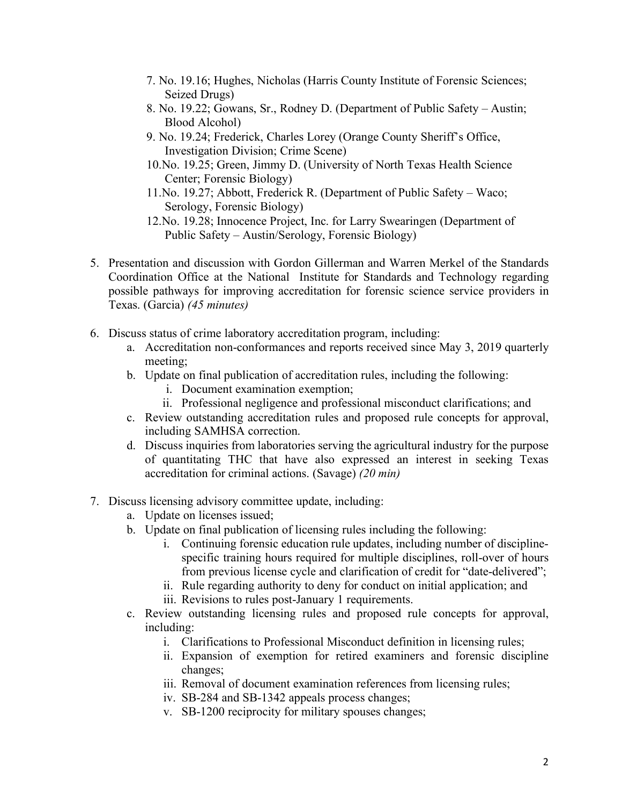- 7. No. 19.16; Hughes, Nicholas (Harris County Institute of Forensic Sciences; Seized Drugs)
- 8. No. 19.22; Gowans, Sr., Rodney D. (Department of Public Safety Austin; Blood Alcohol)
- 9. No. 19.24; Frederick, Charles Lorey (Orange County Sheriff's Office, Investigation Division; Crime Scene)
- 10.No. 19.25; Green, Jimmy D. (University of North Texas Health Science Center; Forensic Biology)
- 11.No. 19.27; Abbott, Frederick R. (Department of Public Safety Waco; Serology, Forensic Biology)
- 12.No. 19.28; Innocence Project, Inc. for Larry Swearingen (Department of Public Safety – Austin/Serology, Forensic Biology)
- 5. Presentation and discussion with Gordon Gillerman and Warren Merkel of the Standards Coordination Office at the National Institute for Standards and Technology regarding possible pathways for improving accreditation for forensic science service providers in Texas. (Garcia) *(45 minutes)*
- 6. Discuss status of crime laboratory accreditation program, including:
	- a. Accreditation non-conformances and reports received since May 3, 2019 quarterly meeting;
	- b. Update on final publication of accreditation rules, including the following:
		- i. Document examination exemption;
		- ii. Professional negligence and professional misconduct clarifications; and
	- c. Review outstanding accreditation rules and proposed rule concepts for approval, including SAMHSA correction.
	- d. Discuss inquiries from laboratories serving the agricultural industry for the purpose of quantitating THC that have also expressed an interest in seeking Texas accreditation for criminal actions. (Savage) *(20 min)*
- 7. Discuss licensing advisory committee update, including:
	- a. Update on licenses issued;
	- b. Update on final publication of licensing rules including the following:
		- i. Continuing forensic education rule updates, including number of disciplinespecific training hours required for multiple disciplines, roll-over of hours from previous license cycle and clarification of credit for "date-delivered";
		- ii. Rule regarding authority to deny for conduct on initial application; and
		- iii. Revisions to rules post-January 1 requirements.
	- c. Review outstanding licensing rules and proposed rule concepts for approval, including:
		- i. Clarifications to Professional Misconduct definition in licensing rules;
		- ii. Expansion of exemption for retired examiners and forensic discipline changes;
		- iii. Removal of document examination references from licensing rules;
		- iv. SB-284 and SB-1342 appeals process changes;
		- v. SB-1200 reciprocity for military spouses changes;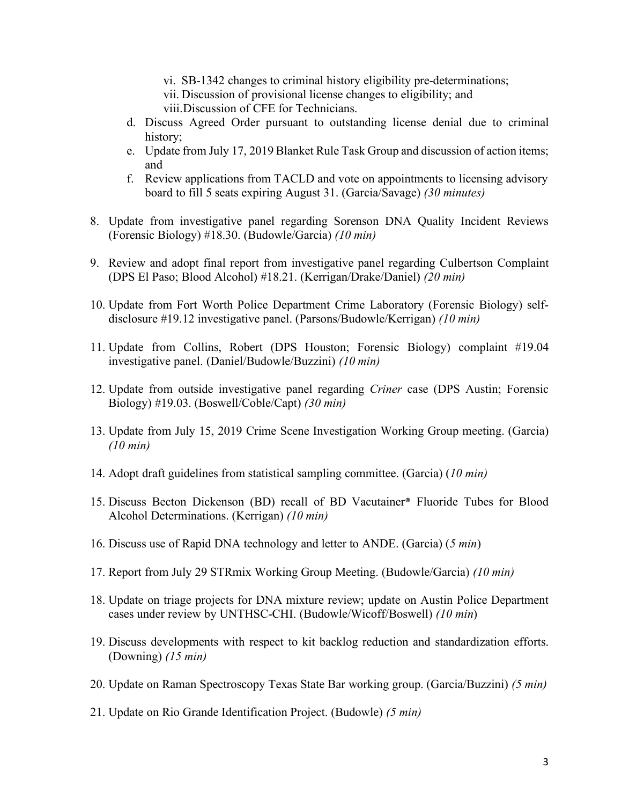- vi. SB-1342 changes to criminal history eligibility pre-determinations;
- vii. Discussion of provisional license changes to eligibility; and
- viii.Discussion of CFE for Technicians.
- d. Discuss Agreed Order pursuant to outstanding license denial due to criminal history;
- e. Update from July 17, 2019 Blanket Rule Task Group and discussion of action items; and
- f. Review applications from TACLD and vote on appointments to licensing advisory board to fill 5 seats expiring August 31. (Garcia/Savage) *(30 minutes)*
- 8. Update from investigative panel regarding Sorenson DNA Quality Incident Reviews (Forensic Biology) #18.30. (Budowle/Garcia) *(10 min)*
- 9. Review and adopt final report from investigative panel regarding Culbertson Complaint (DPS El Paso; Blood Alcohol) #18.21. (Kerrigan/Drake/Daniel) *(20 min)*
- 10. Update from Fort Worth Police Department Crime Laboratory (Forensic Biology) selfdisclosure #19.12 investigative panel. (Parsons/Budowle/Kerrigan) *(10 min)*
- 11. Update from Collins, Robert (DPS Houston; Forensic Biology) complaint #19.04 investigative panel. (Daniel/Budowle/Buzzini) *(10 min)*
- 12. Update from outside investigative panel regarding *Criner* case (DPS Austin; Forensic Biology) #19.03. (Boswell/Coble/Capt) *(30 min)*
- 13. Update from July 15, 2019 Crime Scene Investigation Working Group meeting. (Garcia) *(10 min)*
- 14. Adopt draft guidelines from statistical sampling committee. (Garcia) (*10 min)*
- 15. Discuss Becton Dickenson (BD) recall of BD Vacutainer® Fluoride Tubes for Blood Alcohol Determinations. (Kerrigan) *(10 min)*
- 16. Discuss use of Rapid DNA technology and letter to ANDE. (Garcia) (*5 min*)
- 17. Report from July 29 STRmix Working Group Meeting. (Budowle/Garcia) *(10 min)*
- 18. Update on triage projects for DNA mixture review; update on Austin Police Department cases under review by UNTHSC-CHI. (Budowle/Wicoff/Boswell) *(10 min*)
- 19. Discuss developments with respect to kit backlog reduction and standardization efforts. (Downing) *(15 min)*
- 20. Update on Raman Spectroscopy Texas State Bar working group. (Garcia/Buzzini) *(5 min)*
- 21. Update on Rio Grande Identification Project. (Budowle) *(5 min)*